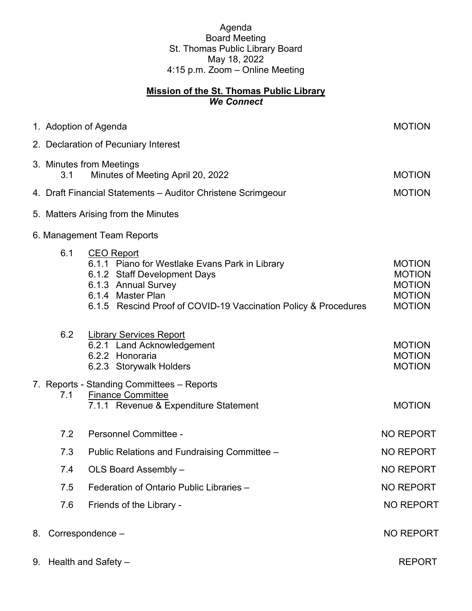Agenda Board Meeting St. Thomas Public Library Board May 18, 2022 4:15 p.m. Zoom – Online Meeting

## **Mission of the St. Thomas Public Library** *We Connect*

|  | 1. Adoption of Agenda                                                |                                                                                                                                                                                                                    | <b>MOTION</b>                                                                     |
|--|----------------------------------------------------------------------|--------------------------------------------------------------------------------------------------------------------------------------------------------------------------------------------------------------------|-----------------------------------------------------------------------------------|
|  |                                                                      | 2. Declaration of Pecuniary Interest                                                                                                                                                                               |                                                                                   |
|  | 3. Minutes from Meetings<br>Minutes of Meeting April 20, 2022<br>3.1 |                                                                                                                                                                                                                    | <b>MOTION</b>                                                                     |
|  |                                                                      | 4. Draft Financial Statements - Auditor Christene Scrimgeour                                                                                                                                                       | <b>MOTION</b>                                                                     |
|  |                                                                      | 5. Matters Arising from the Minutes                                                                                                                                                                                |                                                                                   |
|  |                                                                      | 6. Management Team Reports                                                                                                                                                                                         |                                                                                   |
|  | 6.1                                                                  | <b>CEO Report</b><br>6.1.1 Piano for Westlake Evans Park in Library<br>6.1.2 Staff Development Days<br>6.1.3 Annual Survey<br>6.1.4 Master Plan<br>6.1.5 Rescind Proof of COVID-19 Vaccination Policy & Procedures | <b>MOTION</b><br><b>MOTION</b><br><b>MOTION</b><br><b>MOTION</b><br><b>MOTION</b> |
|  | 6.2                                                                  | <b>Library Services Report</b><br>6.2.1 Land Acknowledgement<br>6.2.2 Honoraria<br>6.2.3 Storywalk Holders                                                                                                         | <b>MOTION</b><br><b>MOTION</b><br><b>MOTION</b>                                   |
|  | 7.1                                                                  | 7. Reports - Standing Committees - Reports<br><b>Finance Committee</b><br>7.1.1 Revenue & Expenditure Statement                                                                                                    | <b>MOTION</b>                                                                     |
|  | 7.2                                                                  | Personnel Committee -                                                                                                                                                                                              | <b>NO REPORT</b>                                                                  |
|  | 7.3                                                                  | Public Relations and Fundraising Committee -                                                                                                                                                                       | <b>NO REPORT</b>                                                                  |
|  | 7.4                                                                  | OLS Board Assembly -                                                                                                                                                                                               | <b>NO REPORT</b>                                                                  |
|  | 7.5                                                                  | Federation of Ontario Public Libraries -                                                                                                                                                                           | <b>NO REPORT</b>                                                                  |
|  | 7.6                                                                  | Friends of the Library -                                                                                                                                                                                           | <b>NO REPORT</b>                                                                  |
|  | 8. Correspondence -                                                  |                                                                                                                                                                                                                    | <b>NO REPORT</b>                                                                  |
|  | 9. Health and Safety -                                               |                                                                                                                                                                                                                    | <b>REPORT</b>                                                                     |